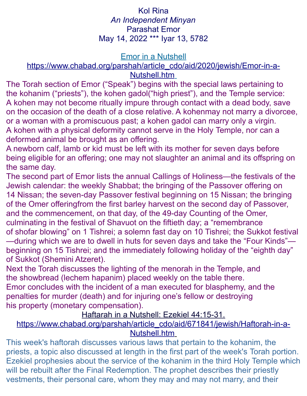# Kol Rina *An Independent Minyan* Parashat Emor May 14, 2022 \*\*\* Iyar 13, 5782

#### **Emor in a Nutshell**

#### [https://www.chabad.org/parshah/article\\_cdo/aid/2020/jewish/Emor-in-a-](https://www.chabad.org/parshah/article_cdo/aid/2020/jewish/Emor-in-a-Nutshell.htm)  [Nutshell.htm](https://www.chabad.org/parshah/article_cdo/aid/2020/jewish/Emor-in-a-Nutshell.htm)

The Torah section of Emor ("Speak") begins with the special laws pertaining to the kohanim ("priests"), the kohen gadol("high priest"), and the Temple service: A kohen may not become ritually impure through contact with a dead body, save on the occasion of the death of a close relative. A kohenmay not marry a divorcee, or a woman with a promiscuous past; a kohen gadol can marry only a virgin. A kohen with a physical deformity cannot serve in the Holy Temple, nor can a deformed animal be brought as an offering.

A newborn calf, lamb or kid must be left with its mother for seven days before being eligible for an offering; one may not slaughter an animal and its offspring on the same day.

The second part of Emor lists the annual Callings of Holiness—the festivals of the Jewish calendar: the weekly Shabbat; the bringing of the Passover offering on 14 Nissan; the seven-day Passover festival beginning on 15 Nissan; the bringing of the Omer offeringfrom the first barley harvest on the second day of Passover, and the commencement, on that day, of the 49-day Counting of the Omer, culminating in the festival of Shavuot on the fiftieth day; a "remembrance of shofar blowing" on 1 Tishrei; a solemn fast day on 10 Tishrei; the Sukkot festival —during which we are to dwell in huts for seven days and take the "Four Kinds" beginning on 15 Tishrei; and the immediately following holiday of the "eighth day"

of Sukkot (Shemini Atzeret).

Next the Torah discusses the lighting of the menorah in the Temple, and the showbread (lechem hapanim) placed weekly on the table there.

Emor concludes with the incident of a man executed for blasphemy, and the penalties for murder (death) and for injuring one's fellow or destroying his property (monetary compensation).

Haftarah in a Nutshell: Ezekiel 44:15-31.

## [https://www.chabad.org/parshah/article\\_cdo/aid/671841/jewish/Haftorah-in-a-](https://www.chabad.org/parshah/article_cdo/aid/671841/jewish/Haftorah-in-a-Nutshell.htm)  [Nutshell.htm](https://www.chabad.org/parshah/article_cdo/aid/671841/jewish/Haftorah-in-a-Nutshell.htm)

This week's haftorah discusses various laws that pertain to the kohanim, the priests, a topic also discussed at length in the first part of the week's Torah portion. Ezekiel prophesies about the service of the kohanim in the third Holy Temple which will be rebuilt after the Final Redemption. The prophet describes their priestly vestments, their personal care, whom they may and may not marry, and their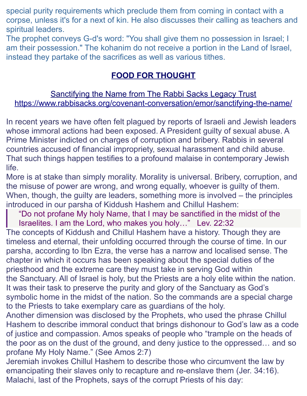special purity requirements which preclude them from coming in contact with a corpse, unless it's for a next of kin. He also discusses their calling as teachers and spiritual leaders.

The prophet conveys G-d's word: "You shall give them no possession in Israel; I am their possession." The kohanim do not receive a portion in the Land of Israel, instead they partake of the sacrifices as well as various tithes.

# **FOOD FOR THOUGHT**

### Sanctifying the Name from The Rabbi Sacks Legacy Trust <https://www.rabbisacks.org/covenant-conversation/emor/sanctifying-the-name/>

In recent years we have often felt plagued by reports of Israeli and Jewish leaders whose immoral actions had been exposed. A President guilty of sexual abuse. A Prime Minister indicted on charges of corruption and bribery. Rabbis in several countries accused of financial impropriety, sexual harassment and child abuse. That such things happen testifies to a profound malaise in contemporary Jewish life.

More is at stake than simply [morality.](https://www.rabbisacks.org/morality-and-ethics/) Morality is universal. Bribery, corruption, and the misuse of power are wrong, and wrong equally, whoever is guilty of them. When, though, the guilty are leaders, something more is involved – the principles introduced in our parsha of Kiddush Hashem and Chillul Hashem:

"Do not profane My holy Name, that I may be sanctified in the midst of the Israelites. I am the Lord, who makes you holy…" [Lev. 22:32](https://www.sefaria.org/Leviticus.22.32?lang=he-en&utm_source=rabbisacks.org&utm_medium=sefaria_linker)

The concepts of Kiddush and Chillul Hashem have a history. Though they are timeless and eternal, their unfolding occurred through the course of time. In our parsha, according to Ibn Ezra, the verse has a narrow and localised sense. The chapter in which it occurs has been speaking about the special duties of the priesthood and the extreme care they must take in serving God within the [Sanctuary.](https://www.rabbisacks.org/quotes/the-sanctuary/) All of Israel is holy, but the Priests are a holy elite within the nation. It was their task to preserve the purity and glory of the Sanctuary as God's symbolic home in the midst of the nation. So the commands are a special charge to the Priests to take exemplary care as guardians of the holy.

Another dimension was disclosed by the Prophets, who used the phrase Chillul Hashem to describe immoral conduct that brings dishonour to God's law as a code of justice and compassion. Amos speaks of people who "trample on the heads of the poor as on the dust of the ground, and deny justice to the oppressed… and so profane My Holy Name." (See [Amos 2:7\)](https://www.sefaria.org/Amos.2.7?lang=he-en&utm_source=rabbisacks.org&utm_medium=sefaria_linker)

Jeremiah invokes Chillul Hashem to describe those who circumvent the law by emancipating their slaves only to recapture and re-enslave them [\(Jer. 34:16\)](https://www.sefaria.org/Jeremiah.34.16?lang=he-en&utm_source=rabbisacks.org&utm_medium=sefaria_linker). Malachi, last of the Prophets, says of the corrupt Priests of his day: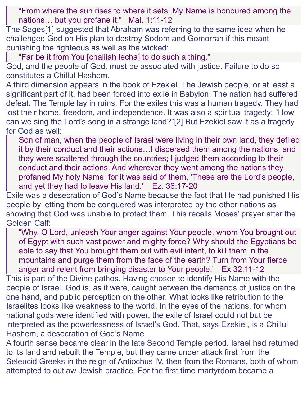"From where the sun rises to where it sets, My Name is honoured among the nations… but you profane it." [Mal. 1:11-12](https://www.sefaria.org/Malachi.1.11-12?lang=he-en&utm_source=rabbisacks.org&utm_medium=sefaria_linker)

The Sage[s\[1\]](https://www.rabbisacks.org/covenant-conversation/emor/sanctifying-the-name/#_ftn1) suggested that Abraham was referring to the same idea when he challenged God on His plan to destroy Sodom and Gomorrah if this meant punishing the righteous as well as the wicked:

"Far be it from You [chalilah lecha] to do such a thing."

God, and the people of God, must be associated with justice. Failure to do so constitutes a Chillul Hashem.

A third dimension appears in the book of Ezekiel. The Jewish people, or at least a significant part of it, had been forced into exile in Babylon. The nation had suffered defeat. The Temple lay in ruins. For the exiles this was a human tragedy. They had lost their home, freedom, and independence. It was also a spiritual tragedy: "How can we sing the Lord's song in a strange land?["\[2\]](https://www.rabbisacks.org/covenant-conversation/emor/sanctifying-the-name/#_ftn2) But Ezekiel saw it as a tragedy for God as well:

Son of man, when the people of Israel were living in their own land, they defiled it by their conduct and their actions…I dispersed them among the nations, and they were scattered through the countries; I judged them according to their conduct and their actions. And wherever they went among the nations they profaned My holy Name, for it was said of them, 'These are the Lord's people, and yet they had to leave His land.' [Ez. 36:17-20](https://www.sefaria.org/Ezekiel.36.17-20?lang=he-en&utm_source=rabbisacks.org&utm_medium=sefaria_linker)

Exile was a desecration of God's Name because the fact that He had punished His people by letting them be conquered was interpreted by the other nations as showing that God was unable to protect them. This recalls Moses' prayer after the Golden Calf:

"Why, O Lord, unleash Your anger against Your people, whom You brought out of Egypt with such vast power and mighty force? Why should the Egyptians be able to say that You brought them out with evil intent, to kill them in the mountains and purge them from the face of the earth? Turn from Your fierce anger and relent from bringing disaster to Your people." [Ex 32:11-12](https://www.sefaria.org/Exodus.32.11-12?lang=he-en&utm_source=rabbisacks.org&utm_medium=sefaria_linker)

This is part of the Divine pathos. Having chosen to identify His Name with the people of Israel, God is, as it were, caught between the demands of justice on the one hand, and public perception on the other. What looks like retribution to the Israelites looks like weakness to the world. In the eyes of the nations, for whom national gods were identified with power, the exile of Israel could not but be interpreted as the powerlessness of Israel's God. That, says Ezekiel, is a Chillul Hashem, a desecration of God's Name.

A fourth sense became clear in the late Second Temple period. Israel had returned to its land and rebuilt the Temple, but they came under attack first from the Seleucid Greeks in the reign of Antiochus IV, then from the Romans, both of whom attempted to outlaw Jewish practice. For the first time martyrdom became a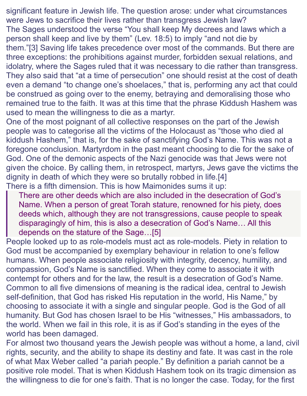significant feature in Jewish life. The question arose: under what circumstances were Jews to sacrifice their lives rather than transgress Jewish law? The Sages understood the verse "You shall keep My decrees and laws which a person shall keep and live by them" [\(Lev. 18:5\)](https://www.sefaria.org/Leviticus.18.5?lang=he-en&utm_source=rabbisacks.org&utm_medium=sefaria_linker) to imply "and not die by them.["\[3\]](https://www.rabbisacks.org/covenant-conversation/emor/sanctifying-the-name/#_ftn3) Saving life takes precedence over most of the commands. But there are three exceptions: the prohibitions against murder, forbidden sexual relations, and idolatry, where the Sages ruled that it was necessary to die rather than transgress. They also said that "at a time of persecution" one should resist at the cost of death even a demand "to change one's shoelaces," that is, performing any act that could be construed as going over to the enemy, betraying and demoralising those who remained true to the faith. It was at this time that the phrase Kiddush Hashem was used to mean the willingness to die as a martyr.

One of the most poignant of all collective responses on the part of the Jewish people was to categorise all the victims of the Holocaust as "those who died al kiddush Hashem," that is, for the sake of sanctifying God's Name. This was not a foregone conclusion. Martyrdom in the past meant choosing to die for the sake of God. One of the demonic aspects of the Nazi genocide was that Jews were not given the choice. By calling them, in retrospect, martyrs, Jews gave the victims the dignity in death of which they were so brutally robbed in life[.\[4\]](https://www.rabbisacks.org/covenant-conversation/emor/sanctifying-the-name/#_ftn4) There is a fifth dimension. This is how Maimonides sums it up:

There are other deeds which are also included in the desecration of God's Name. When a person of great Torah stature, renowned for his piety, does deeds which, although they are not transgressions, cause people to speak disparagingly of him, this is also a desecration of God's Name… All this depends on the stature of the Sage[…\[5\]](https://www.rabbisacks.org/covenant-conversation/emor/sanctifying-the-name/#_ftn5)

People looked up to as role-models must act as role-models. Piety in relation to God must be accompanied by exemplary behaviour in relation to one's fellow humans. When people associate religiosity with integrity, decency, humility, and compassion, God's Name is sanctified. When they come to associate it with contempt for others and for the law, the result is a desecration of God's Name. Common to all five dimensions of meaning is the radical idea, central to Jewish self-definition, that God has risked His reputation in the world, His Name," by choosing to associate it with a single and singular people. God is the God of all humanity. But God has chosen Israel to be His "witnesses," His ambassadors, to the world. When we fail in this role, it is as if God's standing in the eyes of the world has been damaged.

For almost two thousand years the Jewish people was without a home, a land, civil rights, security, and the ability to shape its destiny and fate. It was cast in the role of what Max Weber called "a pariah people." By definition a pariah cannot be a positive role model. That is when Kiddush Hashem took on its tragic dimension as the willingness to die for one's faith. That is no longer the case. Today, for the first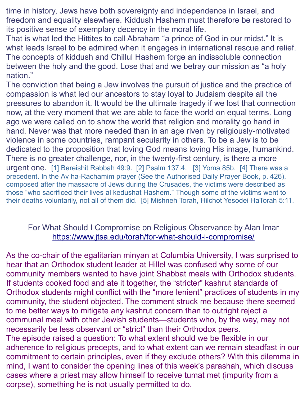time in history, Jews have both sovereignty and independence in Israel, and freedom and equality elsewhere. Kiddush Hashem must therefore be restored to its positive sense of exemplary decency in the moral life.

That is what led the Hittites to call Abraham ["a prince of God in our midst.](https://www.rabbisacks.org/covenant-conversation/chayei-sarah/abraham-a-life-of-faith/)" It is what leads Israel to be admired when it engages in international rescue and relief. The concepts of kiddush and Chillul Hashem forge an indissoluble connection between the holy and the good. Lose that and we betray our mission as "a holy nation."

The conviction that being a Jew involves the pursuit of justice and the practice of compassion is what led our ancestors to stay loyal to Judaism despite all the pressures to abandon it. It would be the ultimate tragedy if we lost that connection now, at the very moment that we are able to face the world on equal terms. Long ago we were called on to show the world that religion and morality go hand in hand. Never was that more needed than in an age riven by religiously-motivated violence in some countries, rampant secularity in others. To be a Jew is to be dedicated to the proposition that loving God means loving His image, humankind. There is no greater challenge, nor, in the twenty-first century, is there a more urgent one. [\[1\]](https://www.rabbisacks.org/covenant-conversation/emor/sanctifying-the-name/#_ftnref1) [Bereishit Rabbah 49:9.](https://www.sefaria.org/Bereishit_Rabbah.49.9?lang=he-en&utm_source=rabbisacks.org&utm_medium=sefaria_linker) [\[2\]](https://www.rabbisacks.org/covenant-conversation/emor/sanctifying-the-name/#_ftnref2) [Psalm 137:4.](https://www.sefaria.org/Psalms.137.4?lang=he-en&utm_source=rabbisacks.org&utm_medium=sefaria_linker) [\[3\]](https://www.rabbisacks.org/covenant-conversation/emor/sanctifying-the-name/#_ftnref3) [Yoma 85b.](https://www.sefaria.org/Yoma.85b?lang=he-en&utm_source=rabbisacks.org&utm_medium=sefaria_linker) [\[4\]](https://www.rabbisacks.org/covenant-conversation/emor/sanctifying-the-name/#_ftnref4) There was a precedent. In the Av ha-Rachamim prayer (See the Authorised Daily Prayer Book, p. 426), composed after the massacre of Jews during the Crusades, the victims were described as those "who sacrificed their lives al kedushat Hashem." Though some of the victims went to their deaths voluntarily, not all of them did. [\[5\]](https://www.rabbisacks.org/covenant-conversation/emor/sanctifying-the-name/#_ftnref5) Mishneh Torah, Hilchot Yesodei HaTorah 5:11.

### For What Should I Compromise on Religious Observance by Alan Imar <https://www.jtsa.edu/torah/for-what-should-i-compromise/>

As the co-chair of the egalitarian minyan at Columbia University, I was surprised to hear that an Orthodox student leader at Hillel was confused why some of our community members wanted to have joint Shabbat meals with Orthodox students. If students cooked food and ate it together, the "stricter" kashrut standards of Orthodox students might conflict with the "more lenient" practices of students in my community, the student objected. The comment struck me because there seemed to me better ways to mitigate any kashrut concern than to outright reject a communal meal with other Jewish students—students who, by the way, may not necessarily be less observant or "strict" than their Orthodox peers. The episode raised a question: To what extent should we be flexible in our adherence to religious precepts, and to what extent can we remain steadfast in our commitment to certain principles, even if they exclude others? With this dilemma in mind, I want to consider the opening lines of this week's parashah, which discuss cases where a priest may allow himself to receive tumat met (impurity from a corpse), something he is not usually permitted to do.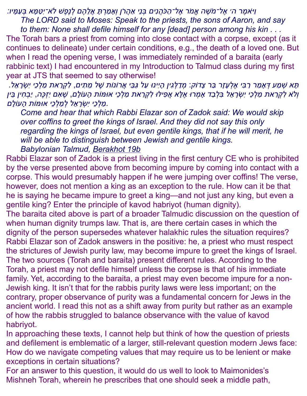*ומיאאמש ר ה׳ אש ל־מאשש ה אממאר אש ל־המ כאהל נטים בע נהי אמ הל ראן ועאי ממ רע תי אללה הש ם לע נשפש ש לאא־יטטמ מי א בע עמ מי יו׃*

*The LORD said to Moses: Speak to the priests, the sons of Aaron, and say to them: None shall defile himself for any [dead] person among his kin . . .*

The Torah bars a priest from coming into close contact with a corpse, except (as it continues to delineate) under certain conditions, e.g., the death of a loved one. But when I read the opening verse, I was immediately reminded of a baraita (early rabbinic text) I had encountered in my Introduction to Talmud class during my first year at JTS that seemed to say otherwise!

*תי א שע ממ ע דע אי ממ ר רמ בט י אש לע עי זיר במ ר צידוק*: *מע דמ לע גט ין הי יטינו עמ ל גמבה י אלרונות שש ל מה תט ים*, *לט קע רמ את ממ לע כהי יטשע רי אה ל*. *ועלאא לט קע רמ את ממ לע כהי יטשע רי אה ל בט לע במ ד אי מע רו אש לי א אלפט ילו לט קע רמ את ממ לע כהי אומות הי עולי ם*, *שש אט ם יטזעכשה*, *ימבע חט ין בה ין .ממ לע כהי יטשע רי אה ל לע ממ לע כהי אומות הי עולי ם*

*Come and hear that which Rabbi Elazar son of Zadok said: We would skip over coffins to greet the kings of Israel. And they did not say this only regarding the kings of Israel, but even gentile kings, that if he will merit, he will be able to distinguish between Jewish and gentile kings. Babylonian Talmud, [Berakhot 19b](https://www.sefaria.org/Berakhot.19b?lang=he-en&utm_source=jtsa.edu&utm_medium=sefaria_linker)*

Rabbi Elazar son of Zadok is a priest living in the first century CE who is prohibited by the verse presented above from becoming impure by coming into contact with a corpse. This would presumably happen if he were jumping over coffins! The verse, however, does not mention a king as an exception to the rule. How can it be that he is saying he became impure to greet a king—and not just any king, but even a gentile king? Enter the principle of kavod habriyot (human dignity).

The baraita cited above is part of a broader Talmudic discussion on the question of when human dignity trumps law. That is, are there certain cases in which the dignity of the person supersedes whatever halakhic rules the situation requires? Rabbi Elazar son of Zadok answers in the positive: he, a priest who must respect the strictures of Jewish purity law, may become impure to greet the kings of Israel. The two sources (Torah and baraita) present different rules. According to the Torah, a priest may not defile himself unless the corpse is that of his immediate family. Yet, according to the baraita, a priest may even become impure for a non-Jewish king. It isn't that for the rabbis purity laws were less important; on the contrary, proper observance of purity was a fundamental concern for Jews in the ancient world. I read this not as a shift away from purity but rather as an example of how the rabbis struggled to balance observance with the value of kavod habriyot.

In approaching these texts, I cannot help but think of how the question of priests and defilement is emblematic of a larger, still-relevant question modern Jews face: How do we navigate competing values that may require us to be lenient or make exceptions in certain situations?

For an answer to this question, it would do us well to look to Maimonides's Mishneh Torah, wherein he prescribes that one should seek a middle path,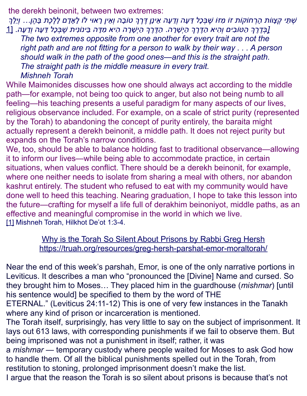the derekh beinonit, between two extremes:

*שע תה י קע ציוות הי רע חוקות זו מט זו שש בע כיל דה עי ה ועדה עי ה אה ינין דש רש ך טובי ה ועאה ין רי אוי לו לי אי די ם לי לש כשת בי הש ן... ועיהלה ך [\[ב](https://www.jtsa.edu/torah/for-what-should-i-compromise/#_ftn1)עדש רש ך המ טובט ים ועהט יא המ דש רש ך המ יעשי רי ה*. *המ דש רש ך המ יעשי רי ה הט יא מט די ה בה ינונטית שש בע כיל דה עי ה ועדה עי ה*. [\[1](https://www.jtsa.edu/torah/for-what-should-i-compromise/#_ftn1) *The two extremes opposite from one another for every trait are not the*  right path and are not fitting for a person to walk by their way . . . A person *should walk in the path of the good ones—and this is the straight path. The straight path is the middle measure in every trait.*

*Mishneh Torah*

While Maimonides discusses how one should always act according to the middle path—for example, not being too quick to anger, but also not being numb to all feeling—his teaching presents a useful paradigm for many aspects of our lives, religious observance included. For example, on a scale of strict purity (represented by the Torah) to abandoning the concept of purity entirely, the baraita might actually represent a derekh beinonit, a middle path. It does not reject purity but expands on the Torah's narrow conditions.

We, too, should be able to balance holding fast to traditional observance—allowing it to inform our lives—while being able to accommodate practice, in certain situations, when values conflict. There should be a derekh beinonit, for example, where one neither needs to isolate from sharing a meal with others, nor abandon kashrut entirely. The student who refused to eat with my community would have done well to heed this teaching. Nearing graduation, I hope to take this lesson into the future—crafting for myself a life full of derakhim beinoniyot, middle paths, as an effective and meaningful compromise in the world in which we live. [\[1\]](https://www.jtsa.edu/torah/for-what-should-i-compromise/#_ftnref1) Mishneh Torah, Hilkhot De'ot 1:3-4.

> Why is the Torah So Silent About Prisons by Rabbi Greg Hersh <https://truah.org/resources/greg-hersh-parshat-emor-moraltorah/>

Near the end of this week's parshah, Emor, is one of the only narrative portions in Leviticus. It describes a man who "pronounced the [Divine] Name and cursed. So they brought him to Moses… They placed him in the guardhouse (*mishmar*) [until his sentence would] be specified to them by the word of THE

ETERNAL." [\(Leviticus 24:11-12\)](https://www.sefaria.org/Leviticus.24.11-12?ven=The_Contemporary_Torah,_Jewish_Publication_Society,_2006&vhe=Miqra_according_to_the_Masorah&lang=bi&aliyot=0) This is one of very few instances in the Tanakh where any kind of prison or incarceration is mentioned.

The Torah itself, surprisingly, has very little to say on the subject of imprisonment. It lays out 613 laws, with corresponding punishments if we fail to observe them. But being imprisoned was not a punishment in itself; rather, it was

a *mishmar* — temporary custody where people waited for Moses to ask God how to handle them. Of all the biblical punishments spelled out in the Torah, from restitution to stoning, prolonged imprisonment doesn't make the list.

I argue that the reason the Torah is so silent about prisons is because that's not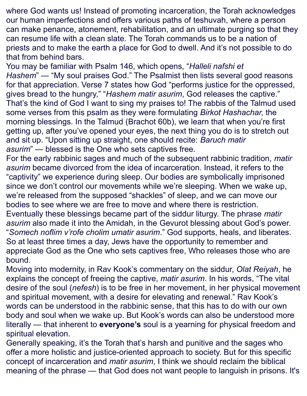where God wants us! Instead of promoting incarceration, the Torah acknowledges our human imperfections and offers various paths of teshuvah, where a person can make penance, atonement, rehabilitation, and an ultimate purging so that they can resume life with a clean slate. The Torah commands us to be [a nation of](https://www.sefaria.org/Exodus.19.6?ven=The_Contemporary_Torah,_Jewish_Publication_Society,_2006&vhe=Miqra_according_to_the_Masorah&lang=bi&with=all&lang2=en)  [priests](https://www.sefaria.org/Exodus.19.6?ven=The_Contemporary_Torah,_Jewish_Publication_Society,_2006&vhe=Miqra_according_to_the_Masorah&lang=bi&with=all&lang2=en) and to [make the earth a place for God to dwell.](https://www.sefaria.org/Exodus.25.8?ven=The_Contemporary_Torah,_Jewish_Publication_Society,_2006&vhe=Miqra_according_to_the_Masorah&lang=bi&with=all&lang2=en) And it's not possible to do that from behind bars.

You may be familiar with [Psalm 146,](https://www.sefaria.org/Psalms.146?ven=Tanakh:_The_Holy_Scriptures,_published_by_JPS&vhe=Miqra_according_to_the_Masorah&lang=bi) which opens, "*Halleli nafshi et Hashem*" — "My soul praises God." The Psalmist then lists several good reasons for that appreciation. Verse 7 states how God "performs justice for the oppressed, gives bread to the hungry," "*Hashem matir asurim*, God releases the captive." That's the kind of God I want to sing my praises to! The rabbis of the Talmud used some verses from this psalm as they were formulating *Birkot Hashachar*, the morning blessings. In the Talmud [\(Brachot 60b\)](https://www.sefaria.org/Berakhot.60b.5?ven=William_Davidson_Edition_-_English&vhe=William_Davidson_Edition_-_Vocalized_Aramaic&lang=bi&with=all&lang2=en), we learn that when you're first getting up, after you've opened your eyes, the next thing you do is to stretch out and sit up. "Upon sitting up straight, one should recite: *Baruch matir asurim*" — blessed is the One who sets captives free.

For the early rabbinic sages and much of the subsequent rabbinic tradition, *matir asurim* became divorced from the idea of incarceration. Instead, it refers to the "captivity" we experience during sleep. Our bodies are symbolically imprisoned since we don't control our movements while we're sleeping. When we wake up, we're released from the supposed "shackles" of sleep, and we can move our bodies to see where we are free to move and where there is restriction. Eventually these blessings became part of the siddur liturgy. The phrase *matir asurim* also made it into the Amidah, in the [Gevurot blessing](https://www.sefaria.org/Siddur_Ashkenaz%2C_Weekday%2C_Shacharit%2C_Amidah%2C_Divine_Might.7?ven=Translation_based_on_the_Metsudah_linear_siddur,_by_Avrohom_Davis,_1981&vhe=The_Metsudah_siddur,_1981&lang=bi&with=Navigation&lang2=en) about God's power. "*Somech noflim v'rofe cholim umatir asurim*." God supports, heals, and liberates. So at least three times a day, Jews have the opportunity to remember and appreciate God as the One who sets captives free, Who releases those who are bound.

Moving into modernity, in Rav Kook's commentary on the siddur, *Olat Reiyah*, he explains the concept of freeing the captive, *matir asurim*. [In his words,](https://www.sefaria.org/Olat_Reiyah%2C_Morning_Blessings.20?ven=Sefaria_Community_Translation&vhe=Rav_Kook_public_files&lang=bi&with=all&lang2=en) "The vital desire of the soul (*nefesh*) is to be free in her movement, in her physical movement and spiritual movement, with a desire for elevating and renewal." Rav Kook's words can be understood in the rabbinic sense, that this has to do with our own body and soul when we wake up. But Kook's words can also be understood more literally — that inherent to **everyone's** soul is a yearning for physical freedom and spiritual elevation.

Generally speaking, it's the Torah that's harsh and punitive and the sages who offer a more holistic and justice-oriented approach to society. But for this specific concept of incarceration and *matir asurim*, I think we should reclaim the biblical meaning of the phrase — that God does not want people to languish in prisons. It's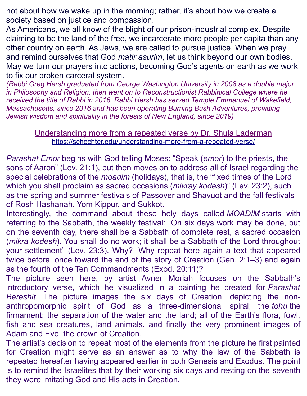not about how we wake up in the morning; rather, it's about how we create a society based on justice and compassion.

As Americans, we all know of the blight of our prison-industrial complex. Despite claiming to be the land of the free, we incarcerate more people per capita than any other country on earth. As Jews, we are called to pursue justice. When we pray and remind ourselves that God *matir asurim*, let us think beyond our own bodies. May we turn our prayers into actions, becoming God's agents on earth as we work to fix our broken carceral system.

*(Rabbi Greg Hersh graduated from George Washington University in 2008 as a double major in Philosophy and Religion, then went on to Reconstructionist Rabbinical College where he received the title of Rabbi in 2016. Rabbi Hersh has served Temple Emmanuel of Wakefield, Massachusetts, since 2016 and has been operating Burning Bush Adventures, providing Jewish wisdom and spirituality in the forests of New England, since 2019)*

#### Understanding more from a repeated verse by Dr. Shula Laderman <https://schechter.edu/understanding-more-from-a-repeated-verse/>

*Parashat Emor* begins with God telling Moses: "Speak (*emor*) to the priests, the sons of Aaron" (Lev. 21:1), but then moves on to address all of Israel regarding the special celebrations of the *moadim* (holidays), that is, the "fixed times of the Lord which you shall proclaim as sacred occasions (*mikray kodesh*)" (Lev. 23:2), such as the spring and summer festivals of Passover and Shavuot and the fall festivals of Rosh Hashanah, Yom Kippur, and Sukkot.

Interestingly, the command about these holy days called *MOADIM* starts with referring to the Sabbath, the weekly festival: "On six days work may be done, but on the seventh day, there shall be a Sabbath of complete rest, a sacred occasion (*mikra kodesh*). You shall do no work; it shall be a Sabbath of the Lord throughout your settlement" (Lev. 23:3). Why? Why repeat here again a text that appeared twice before, once toward the end of the story of Creation (Gen. 2:1–3) and again as the fourth of the Ten Commandments (Exod. 20:11)?

The picture seen here, by artist Avner Moriah focuses on the Sabbath's introductory verse, which he visualized in a painting he created for *Parashat Bereshit*. The picture images the six days of Creation, depicting the nonanthropomorphic spirit of God as a three-dimensional spiral; the *tohu* the firmament; the separation of the water and the land; all of the Earth's flora, fowl, fish and sea creatures, land animals, and finally the very prominent images of Adam and Eve, the crown of Creation.

The artist's decision to repeat most of the elements from the picture he first painted for Creation might serve as an answer as to why the law of the Sabbath is repeated hereafter having appeared earlier in both Genesis and Exodus. The point is to remind the Israelites that by their working six days and resting on the seventh they were imitating God and His acts in Creation.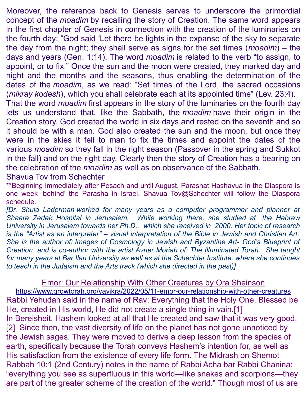Moreover, the reference back to Genesis serves to underscore the primordial concept of the *moadim* by recalling the story of Creation. The same word appears in the first chapter of Genesis in connection with the creation of the luminaries on the fourth day: "God said 'Let there be lights in the expanse of the sky to separate the day from the night; they shall serve as signs for the set times (*moadim*) – the days and years (Gen. 1:14). The word *moadim* is related to the verb "to assign, to appoint, or to fix." Once the sun and the moon were created, they marked day and night and the months and the seasons, thus enabling the determination of the dates of the *moadim*, as we read: "Set times of the Lord, the sacred occasions (*mikray kodesh*), which you shall celebrate each at its appointed time" (Lev. 23:4). That the word *moadim* first appears in the story of the luminaries on the fourth day

lets us understand that, like the Sabbath, the *moadim* have their origin in the Creation story. God created the world in six days and rested on the seventh and so it should be with a man. God also created the sun and the moon, but once they were in the skies it fell to man to fix the times and appoint the dates of the various *moadim* so they fall in the right season (Passover in the spring and Sukkot in the fall) and on the right day. Clearly then the story of Creation has a bearing on the celebration of the *moadim* as well as on observance of the Sabbath. Shavua Tov from Schechter

\*\*Beginning immediately after Pesach and until August, Parashat Hashavua in the Diaspora is one week 'behind' the Parasha in Israel. Shavua Tov@Schechter will follow the Diaspora schedule.

*[Dr. Shula Laderman worked for many years as a computer programmer and planner at Shaare Zedek Hospital in Jerusalem. While working there, she studied at the Hebrew University in Jerusalem towards her Ph.D., which she received in 2000. Her topic of research is the "Artist as an interpreter" – visual interpretation of the Bible in Jewish and Christian Art. She is the author of: Images of Cosmology in Jewish and Byzantine Art- God's Blueprint of Creation and is co-author with the artist Avner Moriah of: The Illuminated Torah. She taught for many years at Bar Ilan University as well as at the Schechter Institute, where she continues to teach in the Judaism and the Arts track (which she directed in the past)]*

Emor: Our Relationship With Other Creatures by Ora Sheinson

<https://www.growtorah.org/vayikra/2022/05/11-emor-our-relationship-with-other-creatures> Rabbi Yehudah said in the name of Rav: Everything that the Holy One, Blessed be He, created in His world, He did not create a single thing in vain.[1] In Bereisheit, Hashem looked at all that He created and saw that it was very good. [2] Since then, the vast diversity of life on the planet has not gone unnoticed by the Jewish sages. They were moved to derive a deep lesson from the species of earth, specifically because the Torah conveys Hashem's intention for, as well as His satisfaction from the existence of every life form. The Midrash on Shemot Rabbah 10:1 (2nd Century) notes in the name of Rabbi Acha bar Rabbi Chanina: "everything you see as superfluous in this world—like snakes and scorpions—they are part of the greater scheme of the creation of the world." Though most of us are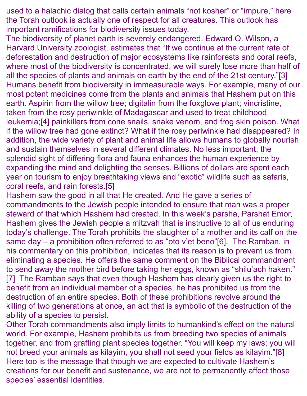used to a halachic dialog that calls certain animals "not kosher" or "impure," here the Torah outlook is actually one of respect for all creatures. This outlook has important ramifications for biodiversity issues today.

The biodiversity of planet earth is severely endangered. Edward O. Wilson, a Harvard University zoologist, estimates that "If we continue at the current rate of deforestation and destruction of major ecosystems like rainforests and coral reefs, where most of the biodiversity is concentrated, we will surely lose more than half of all the species of plants and animals on earth by the end of the 21st century."[3] Humans benefit from biodiversity in immeasurable ways. For example, many of our most potent medicines come from the plants and animals that Hashem put on this earth. Aspirin from the willow tree; digitalin from the foxglove plant; vincristine, taken from the rosy periwinkle of Madagascar and used to treat childhood leukemia;[4] painkillers from cone snails, snake venom, and frog skin poison. What if the willow tree had gone extinct? What if the rosy periwinkle had disappeared? In addition, the wide variety of plant and animal life allows humans to globally nourish and sustain themselves in several different climates. No less important, the splendid sight of differing flora and fauna enhances the human experience by expanding the mind and delighting the senses. Billions of dollars are spent each year on tourism to enjoy breathtaking views and "exotic" wildlife such as safaris, coral reefs, and rain forests.[5]

Hashem saw the good in all that He created. And He gave a series of commandments to the Jewish people intended to ensure that man was a proper steward of that which Hashem had created. In this week's parsha, Parshat Emor, Hashem gives the Jewish people a mitzvah that is instructive to all of us enduring today's challenge. The Torah prohibits the slaughter of a mother and its calf on the same day – a prohibition often referred to as "oto v'et beno"[6]. The Ramban, in his commentary on this prohibition, indicates that its reason is to prevent us from eliminating a species. He offers the same comment on the Biblical commandment to send away the mother bird before taking her eggs, known as "shilu'ach haken." [7] The Ramban says that even though Hashem has clearly given us the right to benefit from an individual member of a species, he has prohibited us from the destruction of an entire species. Both of these prohibitions revolve around the killing of two generations at once, an act that is symbolic of the destruction of the ability of a species to persist.

Other Torah commandments also imply limits to humankind's effect on the natural world. For example, Hashem prohibits us from breeding two species of animals together, and from grafting plant species together. "You will keep my laws; you will not breed your animals as kilayim, you shall not seed your fields as kilayim."[8] Here too is the message that though we are expected to cultivate Hashem's creations for our benefit and sustenance, we are not to permanently affect those species' essential identities.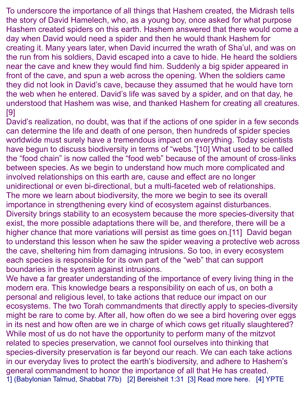To underscore the importance of all things that Hashem created, the Midrash tells the story of David Hamelech, who, as a young boy, once asked for what purpose Hashem created spiders on this earth. Hashem answered that there would come a day when David would need a spider and then he would thank Hashem for creating it. Many years later, when David incurred the wrath of Sha'ul, and was on the run from his soldiers, David escaped into a cave to hide. He heard the soldiers near the cave and knew they would find him. Suddenly a big spider appeared in front of the cave, and spun a web across the opening. When the soldiers came they did not look in David's cave, because they assumed that he would have torn the web when he entered. David's life was saved by a spider, and on that day, he understood that Hashem was wise, and thanked Hashem for creating all creatures. [9]

David's realization, no doubt, was that if the actions of one spider in a few seconds can determine the life and death of one person, then hundreds of spider species worldwide must surely have a tremendous impact on everything. Today scientists have begun to discuss biodiversity in terms of "webs."[10] What used to be called the "food chain" is now called the "food web" because of the amount of cross-links between species. As we begin to understand how much more complicated and involved relationships on this earth are, cause and effect are no longer unidirectional or even bi-directional, but a multi-faceted web of relationships. The more we learn about biodiversity, the more we begin to see its overall importance in strengthening every kind of ecosystem against disturbances. Diversity brings stability to an ecosystem because the more species-diversity that exist, the more possible adaptations there will be, and therefore, there will be a higher chance that more variations will persist as time goes on.[11] David began to understand this lesson when he saw the spider weaving a protective web across the cave, sheltering him from damaging intrusions. So too, in every ecosystem each species is responsible for its own part of the "web" that can support boundaries in the system against intrusions.

We have a far greater understanding of the importance of every living thing in the modern era. This knowledge bears a responsibility on each of us, on both a personal and religious level, to take actions that reduce our impact on our ecosystems. The two Torah commandments that directly apply to species-diversity might be rare to come by. After all, how often do we see a bird hovering over eggs in its nest and how often are we in charge of which cows get ritually slaughtered? While most of us do not have the opportunity to perform many of the mitzvot related to species preservation, we cannot fool ourselves into thinking that species-diversity preservation is far beyond our reach. We can each take actions in our everyday lives to protect the earth's biodiversity, and adhere to Hashem's general commandment to honor the importance of all that He has created. 1] (Babylonian Talmud, Shabbat 77b) [2] Bereisheit 1:31 [3] Read more [here.](https://news.mongabay.com/2017/02/renowned-biologist-edward-o-wilson-calls-for-preserving-half-of-earth-to-save-biodiversity/) [4] [YPTE](http://www.ypte.org.uk/)